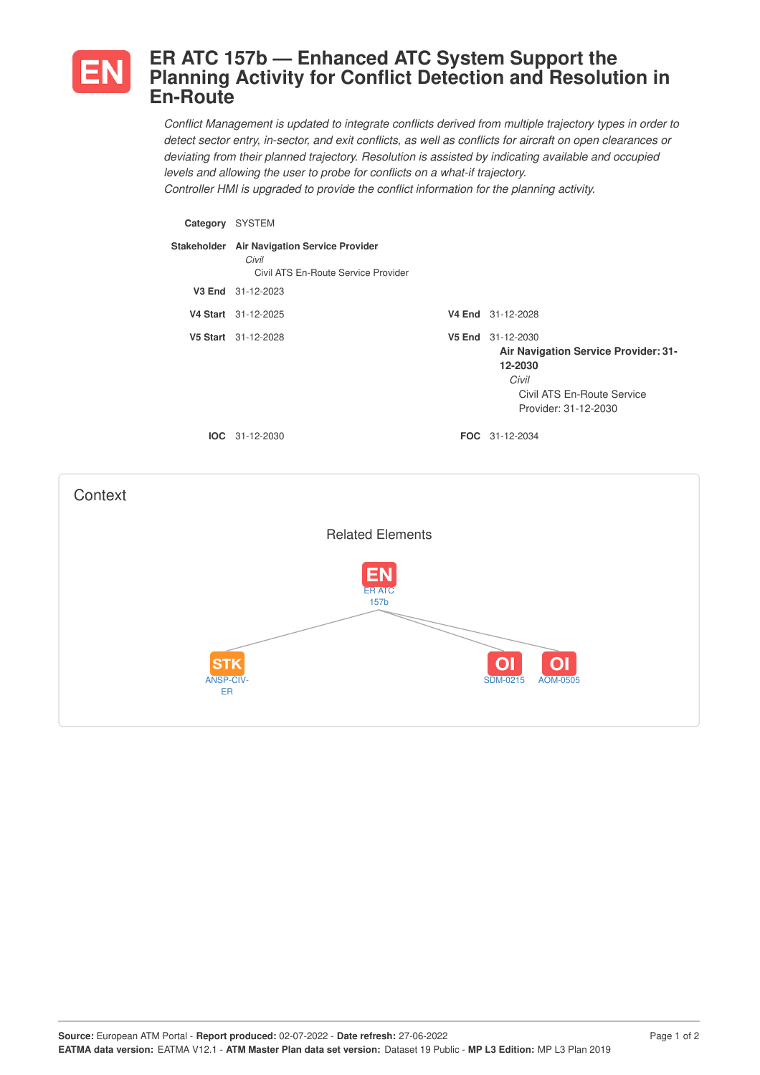

## **ER ATC 157b — Enhanced ATC System Support the Planning Activity for Conflict Detection and Resolution in En-Route**

*Conflict Management is updated to integrate conflicts derived from multiple trajectory types in order to* detect sector entry, in-sector, and exit conflicts, as well as conflicts for aircraft on open clearances or *deviating from their planned trajectory. Resolution is assisted by indicating available and occupied levels and allowing the user to probe for conflicts on a what-if trajectory. Controller HMI is upgraded to provide the conflict information for the planning activity.*